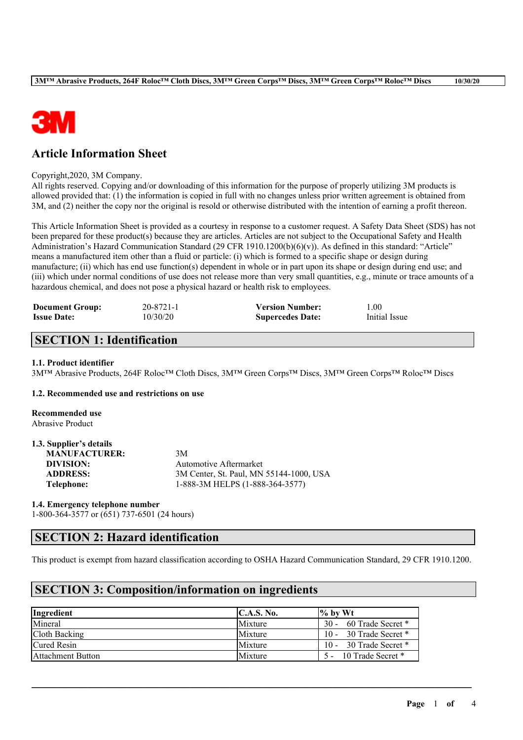

# **Article Information Sheet**

#### Copyright,2020, 3M Company.

All rights reserved. Copying and/or downloading of this information for the purpose of properly utilizing 3M products is allowed provided that: (1) the information is copied in full with no changes unless prior written agreement is obtained from 3M, and (2) neither the copy nor the original is resold or otherwise distributed with the intention of earning a profit thereon.

This Article Information Sheet is provided as a courtesy in response to a customer request. A Safety Data Sheet (SDS) has not been prepared for these product(s) because they are articles. Articles are not subject to the Occupational Safety and Health Administration's Hazard Communication Standard (29 CFR 1910.1200(b)(6)(v)). As defined in this standard: "Article" means a manufactured item other than a fluid or particle: (i) which is formed to a specific shape or design during manufacture; (ii) which has end use function(s) dependent in whole or in part upon its shape or design during end use; and (iii) which under normal conditions of use does not release more than very small quantities, e.g., minute or trace amounts of a hazardous chemical, and does not pose a physical hazard or health risk to employees.

| <b>Document Group:</b> | 20-8721-1 | <b>Version Number:</b>  | 1.00          |
|------------------------|-----------|-------------------------|---------------|
| <b>Issue Date:</b>     | 10/30/20  | <b>Supercedes Date:</b> | Initial Issue |

### **SECTION 1: Identification**

#### **1.1. Product identifier**

3M™ Abrasive Products, 264F Roloc™ Cloth Discs, 3M™ Green Corps™ Discs, 3M™ Green Corps™ Roloc™ Discs

### **1.2. Recommended use and restrictions on use**

**Recommended use** Abrasive Product

| 1.3. Supplier's details |                                         |
|-------------------------|-----------------------------------------|
| <b>MANUFACTURER:</b>    | 3M                                      |
| DIVISION:               | Automotive Aftermarket                  |
| <b>ADDRESS:</b>         | 3M Center, St. Paul, MN 55144-1000, USA |
| Telephone:              | 1-888-3M HELPS (1-888-364-3577)         |

#### **1.4. Emergency telephone number**

1-800-364-3577 or (651) 737-6501 (24 hours)

# **SECTION 2: Hazard identification**

This product is exempt from hazard classification according to OSHA Hazard Communication Standard, 29 CFR 1910.1200.

 $\mathcal{L}_\mathcal{L} = \mathcal{L}_\mathcal{L} = \mathcal{L}_\mathcal{L} = \mathcal{L}_\mathcal{L} = \mathcal{L}_\mathcal{L} = \mathcal{L}_\mathcal{L} = \mathcal{L}_\mathcal{L} = \mathcal{L}_\mathcal{L} = \mathcal{L}_\mathcal{L} = \mathcal{L}_\mathcal{L} = \mathcal{L}_\mathcal{L} = \mathcal{L}_\mathcal{L} = \mathcal{L}_\mathcal{L} = \mathcal{L}_\mathcal{L} = \mathcal{L}_\mathcal{L} = \mathcal{L}_\mathcal{L} = \mathcal{L}_\mathcal{L}$ 

# **SECTION 3: Composition/information on ingredients**

| Ingredient               | C.A.S. No.     | $\%$ by Wt               |
|--------------------------|----------------|--------------------------|
| Mineral                  | <b>Mixture</b> | 30 - 60 Trade Secret *   |
| Cloth Backing            | Mixture        | 10 - 30 Trade Secret $*$ |
| Cured Resin              | Mixture        | 10 - 30 Trade Secret $*$ |
| <b>Attachment Button</b> | <b>Mixture</b> | 10 Trade Secret *        |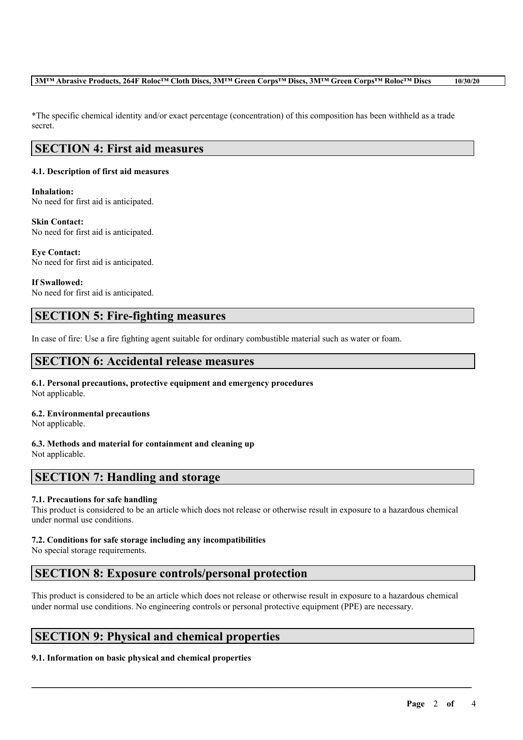### 3MTM Abrasive Products, 264F Roloc<sup>TM</sup> Cloth Discs, 3MTM Green Corps<sup>TM</sup> Discs, 3MTM Green Corps<sup>TM</sup> Roloc<sup>TM</sup> Discs 10/30/20

\*The specific chemical identity and/or exact percentage (concentration) of this composition has been withheld as a trade secret.

# **SECTION 4: First aid measures**

### **4.1. Description of first aid measures**

### **Inhalation:**

No need for first aid is anticipated.

#### **Skin Contact:**

No need for first aid is anticipated.

**Eye Contact:** No need for first aid is anticipated.

**If Swallowed:** No need for first aid is anticipated.

# **SECTION 5: Fire-fighting measures**

In case of fire: Use a fire fighting agent suitable for ordinary combustible material such as water or foam.

# **SECTION 6: Accidental release measures**

#### **6.1. Personal precautions, protective equipment and emergency procedures** Not applicable.

### **6.2. Environmental precautions**

Not applicable.

### **6.3. Methods and material for containment and cleaning up**

Not applicable.

# **SECTION 7: Handling and storage**

### **7.1. Precautions for safe handling**

This product is considered to be an article which does not release or otherwise result in exposure to a hazardous chemical under normal use conditions.

### **7.2. Conditions for safe storage including any incompatibilities**

No special storage requirements.

# **SECTION 8: Exposure controls/personal protection**

This product is considered to be an article which does not release or otherwise result in exposure to a hazardous chemical under normal use conditions. No engineering controls or personal protective equipment (PPE) are necessary.

 $\mathcal{L}_\mathcal{L} = \mathcal{L}_\mathcal{L} = \mathcal{L}_\mathcal{L} = \mathcal{L}_\mathcal{L} = \mathcal{L}_\mathcal{L} = \mathcal{L}_\mathcal{L} = \mathcal{L}_\mathcal{L} = \mathcal{L}_\mathcal{L} = \mathcal{L}_\mathcal{L} = \mathcal{L}_\mathcal{L} = \mathcal{L}_\mathcal{L} = \mathcal{L}_\mathcal{L} = \mathcal{L}_\mathcal{L} = \mathcal{L}_\mathcal{L} = \mathcal{L}_\mathcal{L} = \mathcal{L}_\mathcal{L} = \mathcal{L}_\mathcal{L}$ 

# **SECTION 9: Physical and chemical properties**

### **9.1. Information on basic physical and chemical properties**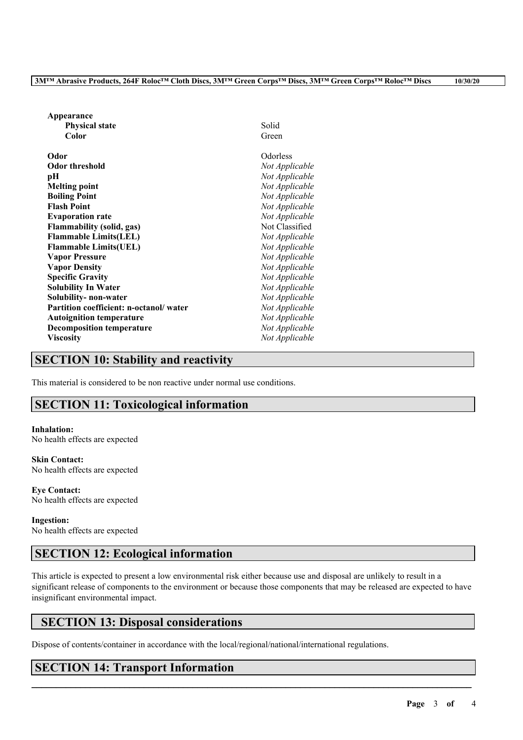| Appearance                             |                |
|----------------------------------------|----------------|
| <b>Physical state</b>                  | Solid          |
| Color                                  | Green          |
| Odor                                   | Odorless       |
| <b>Odor threshold</b>                  | Not Applicable |
| рH                                     | Not Applicable |
| <b>Melting point</b>                   | Not Applicable |
| <b>Boiling Point</b>                   | Not Applicable |
| <b>Flash Point</b>                     | Not Applicable |
| <b>Evaporation rate</b>                | Not Applicable |
| <b>Flammability (solid, gas)</b>       | Not Classified |
| <b>Flammable Limits(LEL)</b>           | Not Applicable |
| <b>Flammable Limits(UEL)</b>           | Not Applicable |
| <b>Vapor Pressure</b>                  | Not Applicable |
| <b>Vapor Density</b>                   | Not Applicable |
| <b>Specific Gravity</b>                | Not Applicable |
| <b>Solubility In Water</b>             | Not Applicable |
| Solubility-non-water                   | Not Applicable |
| Partition coefficient: n-octanol/water | Not Applicable |
| <b>Autoignition temperature</b>        | Not Applicable |
| <b>Decomposition temperature</b>       | Not Applicable |
| <b>Viscosity</b>                       | Not Applicable |

### **SECTION 10: Stability and reactivity**

This material is considered to be non reactive under normal use conditions.

# **SECTION 11: Toxicological information**

#### **Inhalation:**

No health effects are expected

**Skin Contact:** No health effects are expected

**Eye Contact:** No health effects are expected

#### **Ingestion:** No health effects are expected

# **SECTION 12: Ecological information**

This article is expected to present a low environmental risk either because use and disposal are unlikely to result in a significant release of components to the environment or because those components that may be released are expected to have insignificant environmental impact.

 $\mathcal{L}_\mathcal{L} = \mathcal{L}_\mathcal{L} = \mathcal{L}_\mathcal{L} = \mathcal{L}_\mathcal{L} = \mathcal{L}_\mathcal{L} = \mathcal{L}_\mathcal{L} = \mathcal{L}_\mathcal{L} = \mathcal{L}_\mathcal{L} = \mathcal{L}_\mathcal{L} = \mathcal{L}_\mathcal{L} = \mathcal{L}_\mathcal{L} = \mathcal{L}_\mathcal{L} = \mathcal{L}_\mathcal{L} = \mathcal{L}_\mathcal{L} = \mathcal{L}_\mathcal{L} = \mathcal{L}_\mathcal{L} = \mathcal{L}_\mathcal{L}$ 

# **SECTION 13: Disposal considerations**

Dispose of contents/container in accordance with the local/regional/national/international regulations.

# **SECTION 14: Transport Information**